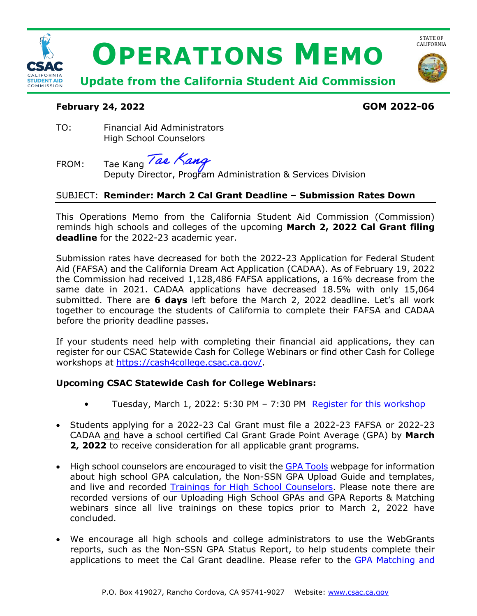

### **February 24, 2022 GOM 2022-06**

TO: Financial Aid Administrators High School Counselors

FROM: Tae Kang Tae Kang

Deputy Director, Program Administration & Services Division

# SUBJECT: **Reminder: March 2 Cal Grant Deadline – Submission Rates Down**

 reminds high schools and colleges of the upcoming **March 2, 2022 Cal Grant filing**  This Operations Memo from the California Student Aid Commission (Commission) **deadline** for the 2022-23 academic year.

 Submission rates have decreased for both the 2022-23 Application for Federal Student Aid (FAFSA) and the California Dream Act Application (CADAA). As of February 19, 2022 the Commission had received 1,128,486 FAFSA applications, a 16% decrease from the same date in 2021. CADAA applications have decreased 18.5% with only 15,064 submitted. There are **6 days** left before the March 2, 2022 deadline. Let's all work together to encourage the students of California to complete their FAFSA and CADAA before the priority deadline passes.

 register for our CSAC Statewide Cash for College Webinars or find other Cash for College If your students need help with completing their financial aid applications, they can workshops at [https://cash4college.csac.ca.gov/.](https://cash4college.csac.ca.gov/)

## **Upcoming CSAC Statewide Cash for College Webinars:**

- Tuesday, March 1, 2022: 5:30 PM 7:30 PM Register for this workshop
- CADAA and have a school certified Cal Grant Grade Point Average (GPA) by **March**  • Students applying for a 2022-23 Cal Grant must file a 2022-23 FAFSA or 2022-23 **2, 2022** to receive consideration for all applicable grant programs.
- High school counselors are encouraged to visit the [GPA Tools](https://www.csac.ca.gov/gpa-tools) webpage for information and live and recorded [Trainings for High School Counselors.](https://www.csac.ca.gov/trainings) Please note there are recorded versions of our Uploading High School GPAs and GPA Reports & Matching about high school GPA calculation, the Non-SSN GPA Upload Guide and templates, webinars since all live trainings on these topics prior to March 2, 2022 have concluded.
- • We encourage all high schools and college administrators to use the WebGrants reports, such as the Non-SSN GPA Status Report, to help students complete their applications to meet the Cal Grant deadline. Please refer to the GPA Matching and